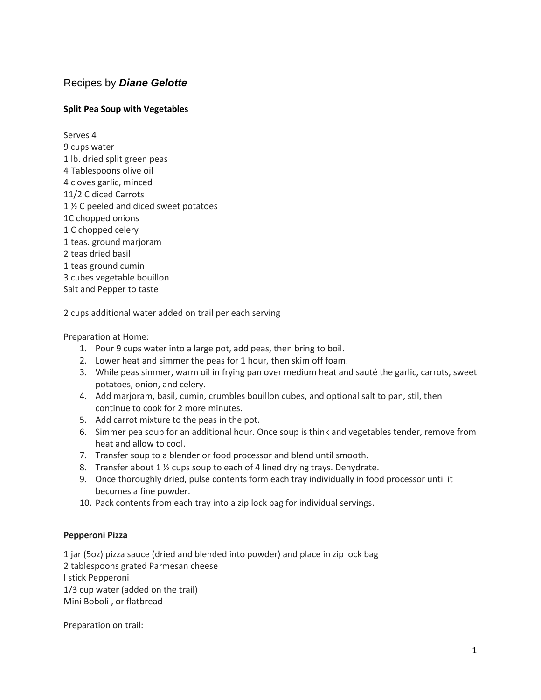# Recipes by *Diane Gelotte*

## **Split Pea Soup with Vegetables**

Serves 4 9 cups water 1 lb. dried split green peas 4 Tablespoons olive oil 4 cloves garlic, minced 11/2 C diced Carrots 1 % C peeled and diced sweet potatoes 1C chopped onions 1 C chopped celery 1 teas. ground marjoram 2 teas dried basil 1 teas ground cumin 3 cubes vegetable bouillon Salt and Pepper to taste

2 cups additional water added on trail per each serving

Preparation at Home:

- 1. Pour 9 cups water into a large pot, add peas, then bring to boil.
- 2. Lower heat and simmer the peas for 1 hour, then skim off foam.
- 3. While peas simmer, warm oil in frying pan over medium heat and sauté the garlic, carrots, sweet potatoes, onion, and celery.
- 4. Add marjoram, basil, cumin, crumbles bouillon cubes, and optional salt to pan, stil, then continue to cook for 2 more minutes.
- 5. Add carrot mixture to the peas in the pot.
- 6. Simmer pea soup for an additional hour. Once soup is think and vegetables tender, remove from heat and allow to cool.
- 7. Transfer soup to a blender or food processor and blend until smooth.
- 8. Transfer about 1 ½ cups soup to each of 4 lined drying trays. Dehydrate.
- 9. Once thoroughly dried, pulse contents form each tray individually in food processor until it becomes a fine powder.
- 10. Pack contents from each tray into a zip lock bag for individual servings.

### **Pepperoni Pizza**

1 jar (5oz) pizza sauce (dried and blended into powder) and place in zip lock bag 2 tablespoons grated Parmesan cheese I stick Pepperoni 1/3 cup water (added on the trail) Mini Boboli , or flatbread

Preparation on trail: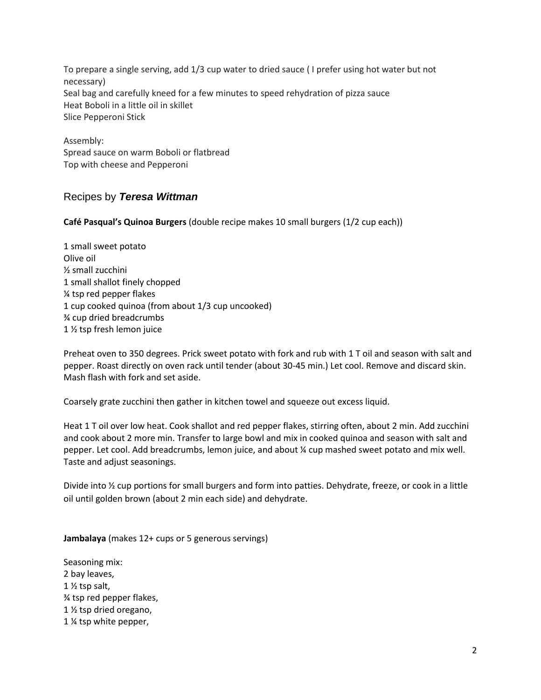To prepare a single serving, add 1/3 cup water to dried sauce ( I prefer using hot water but not necessary) Seal bag and carefully kneed for a few minutes to speed rehydration of pizza sauce Heat Boboli in a little oil in skillet Slice Pepperoni Stick

Assembly: Spread sauce on warm Boboli or flatbread Top with cheese and Pepperoni

# Recipes by *Teresa Wittman*

**Café Pasqual's Quinoa Burgers** (double recipe makes 10 small burgers (1/2 cup each))

1 small sweet potato Olive oil ½ small zucchini 1 small shallot finely chopped ¼ tsp red pepper flakes 1 cup cooked quinoa (from about 1/3 cup uncooked) ¾ cup dried breadcrumbs 1 ½ tsp fresh lemon juice

Preheat oven to 350 degrees. Prick sweet potato with fork and rub with 1 T oil and season with salt and pepper. Roast directly on oven rack until tender (about 30-45 min.) Let cool. Remove and discard skin. Mash flash with fork and set aside.

Coarsely grate zucchini then gather in kitchen towel and squeeze out excess liquid.

Heat 1 T oil over low heat. Cook shallot and red pepper flakes, stirring often, about 2 min. Add zucchini and cook about 2 more min. Transfer to large bowl and mix in cooked quinoa and season with salt and pepper. Let cool. Add breadcrumbs, lemon juice, and about ¼ cup mashed sweet potato and mix well. Taste and adjust seasonings.

Divide into <sup>1</sup>/<sub>2</sub> cup portions for small burgers and form into patties. Dehydrate, freeze, or cook in a little oil until golden brown (about 2 min each side) and dehydrate.

**Jambalaya** (makes 12+ cups or 5 generous servings)

Seasoning mix: 2 bay leaves, 1 ½ tsp salt, ¾ tsp red pepper flakes, 1 ½ tsp dried oregano, 1 ¼ tsp white pepper,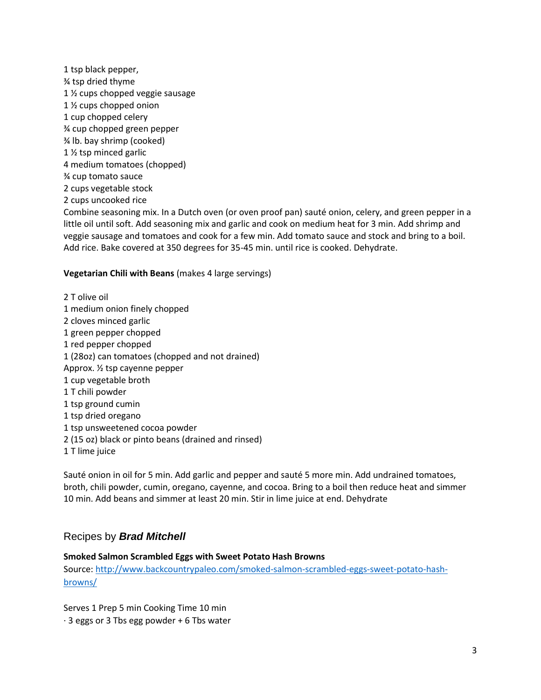1 tsp black pepper, ¾ tsp dried thyme 1 ½ cups chopped veggie sausage 1 ½ cups chopped onion 1 cup chopped celery ¾ cup chopped green pepper ¾ lb. bay shrimp (cooked) 1 ½ tsp minced garlic 4 medium tomatoes (chopped) ¾ cup tomato sauce 2 cups vegetable stock 2 cups uncooked rice

Combine seasoning mix. In a Dutch oven (or oven proof pan) sauté onion, celery, and green pepper in a little oil until soft. Add seasoning mix and garlic and cook on medium heat for 3 min. Add shrimp and veggie sausage and tomatoes and cook for a few min. Add tomato sauce and stock and bring to a boil. Add rice. Bake covered at 350 degrees for 35-45 min. until rice is cooked. Dehydrate.

#### **Vegetarian Chili with Beans** (makes 4 large servings)

2 T olive oil 1 medium onion finely chopped 2 cloves minced garlic 1 green pepper chopped 1 red pepper chopped 1 (28oz) can tomatoes (chopped and not drained) Approx. ½ tsp cayenne pepper 1 cup vegetable broth 1 T chili powder 1 tsp ground cumin 1 tsp dried oregano 1 tsp unsweetened cocoa powder 2 (15 oz) black or pinto beans (drained and rinsed) 1 T lime juice

Sauté onion in oil for 5 min. Add garlic and pepper and sauté 5 more min. Add undrained tomatoes, broth, chili powder, cumin, oregano, cayenne, and cocoa. Bring to a boil then reduce heat and simmer 10 min. Add beans and simmer at least 20 min. Stir in lime juice at end. Dehydrate

## Recipes by *Brad Mitchell*

### **Smoked Salmon Scrambled Eggs with Sweet Potato Hash Browns**

Source: [http://www.backcountrypaleo.com/smoked-salmon-scrambled-eggs-sweet-potato-hash](http://www.backcountrypaleo.com/smoked-salmon-scrambled-eggs-sweet-potato-hash-browns/)[browns/](http://www.backcountrypaleo.com/smoked-salmon-scrambled-eggs-sweet-potato-hash-browns/)

Serves 1 Prep 5 min Cooking Time 10 min  $\cdot$  3 eggs or 3 Tbs egg powder + 6 Tbs water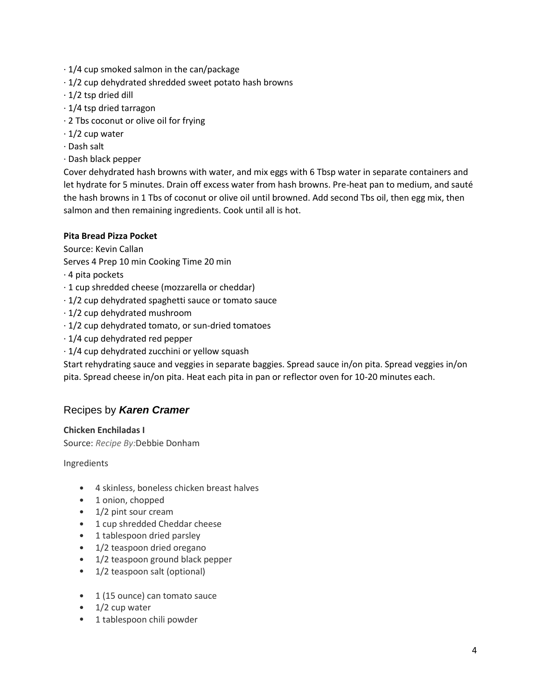- · 1/4 cup smoked salmon in the can/package
- · 1/2 cup dehydrated shredded sweet potato hash browns
- $\cdot$  1/2 tsp dried dill
- · 1/4 tsp dried tarragon
- · 2 Tbs coconut or olive oil for frying
- $\cdot$  1/2 cup water
- · Dash salt
- · Dash black pepper

Cover dehydrated hash browns with water, and mix eggs with 6 Tbsp water in separate containers and let hydrate for 5 minutes. Drain off excess water from hash browns. Pre-heat pan to medium, and sauté the hash browns in 1 Tbs of coconut or olive oil until browned. Add second Tbs oil, then egg mix, then salmon and then remaining ingredients. Cook until all is hot.

## **Pita Bread Pizza Pocket**

Source: Kevin Callan

- Serves 4 Prep 10 min Cooking Time 20 min
- · 4 pita pockets
- · 1 cup shredded cheese (mozzarella or cheddar)
- · 1/2 cup dehydrated spaghetti sauce or tomato sauce
- · 1/2 cup dehydrated mushroom
- · 1/2 cup dehydrated tomato, or sun-dried tomatoes
- · 1/4 cup dehydrated red pepper
- · 1/4 cup dehydrated zucchini or yellow squash

Start rehydrating sauce and veggies in separate baggies. Spread sauce in/on pita. Spread veggies in/on pita. Spread cheese in/on pita. Heat each pita in pan or reflector oven for 10-20 minutes each.

## Recipes by *Karen Cramer*

### **Chicken Enchiladas I**

Source: *Recipe By:*Debbie Donham

Ingredients

- 4 skinless, boneless chicken breast halves
- 1 onion, chopped
- 1/2 pint sour cream
- 1 cup shredded Cheddar cheese
- 1 tablespoon dried parsley
- 1/2 teaspoon dried oregano
- 1/2 teaspoon ground black pepper
- 1/2 teaspoon salt (optional)
- 1 (15 ounce) can tomato sauce
- $\bullet$  1/2 cup water
- 1 tablespoon chili powder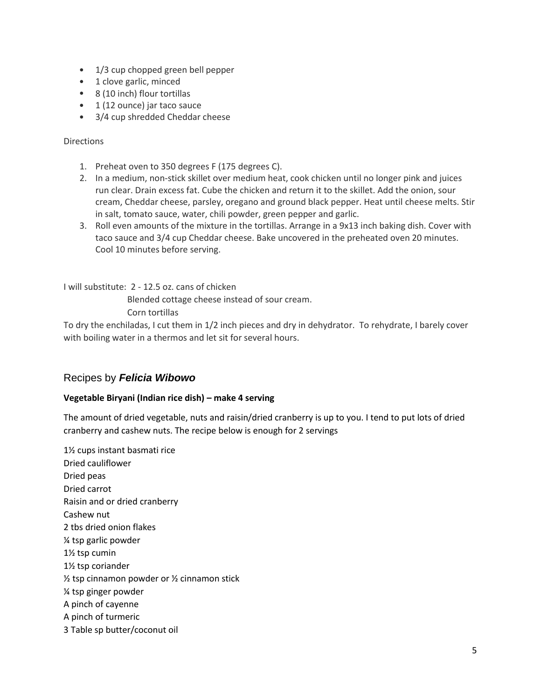- 1/3 cup chopped green bell pepper
- 1 clove garlic, minced
- 8 (10 inch) flour tortillas
- 1 (12 ounce) jar taco sauce
- 3/4 cup shredded Cheddar cheese

### Directions

- 1. Preheat oven to 350 degrees F (175 degrees C).
- 2. In a medium, non-stick skillet over medium heat, cook chicken until no longer pink and juices run clear. Drain excess fat. Cube the chicken and return it to the skillet. Add the onion, sour cream, Cheddar cheese, parsley, oregano and ground black pepper. Heat until cheese melts. Stir in salt, tomato sauce, water, chili powder, green pepper and garlic.
- 3. Roll even amounts of the mixture in the tortillas. Arrange in a 9x13 inch baking dish. Cover with taco sauce and 3/4 cup Cheddar cheese. Bake uncovered in the preheated oven 20 minutes. Cool 10 minutes before serving.

I will substitute: 2 - 12.5 oz. cans of chicken Blended cottage cheese instead of sour cream. Corn tortillas

To dry the enchiladas, I cut them in 1/2 inch pieces and dry in dehydrator. To rehydrate, I barely cover with boiling water in a thermos and let sit for several hours.

## Recipes by *Felicia Wibowo*

### **Vegetable Biryani (Indian rice dish) – make 4 serving**

The amount of dried vegetable, nuts and raisin/dried cranberry is up to you. I tend to put lots of dried cranberry and cashew nuts. The recipe below is enough for 2 servings

1½ cups instant basmati rice Dried cauliflower Dried peas Dried carrot Raisin and or dried cranberry Cashew nut 2 tbs dried onion flakes ¼ tsp garlic powder 1½ tsp cumin 1½ tsp coriander ½ tsp cinnamon powder or ½ cinnamon stick ¼ tsp ginger powder A pinch of cayenne A pinch of turmeric 3 Table sp butter/coconut oil